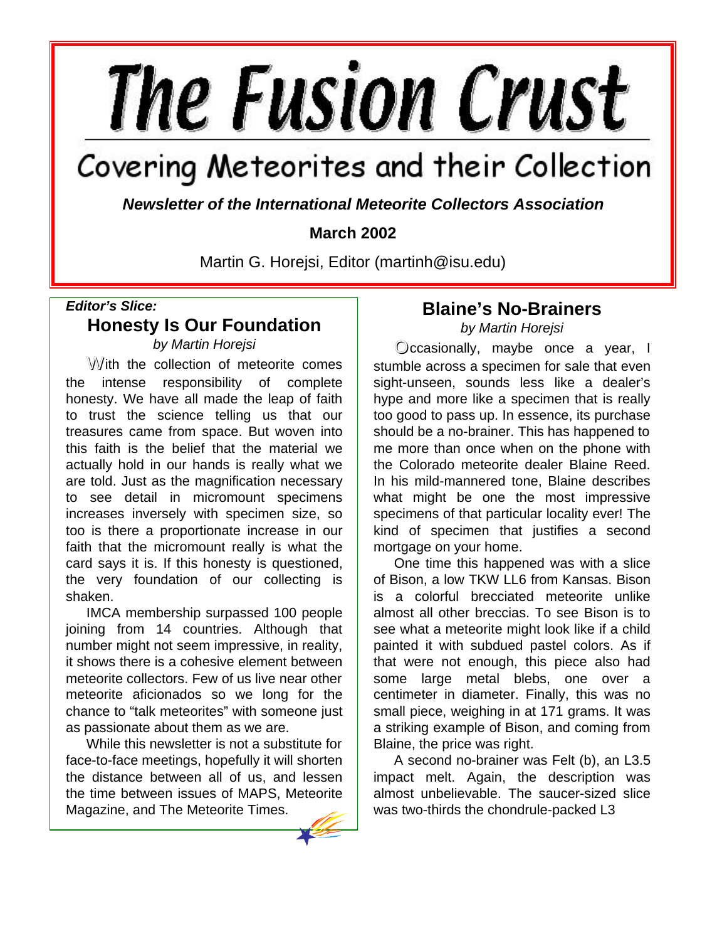# **The Fusion Crust**

# Covering Meteorites and their Collection

*Newsletter of the International Meteorite Collectors Association*

## **March 2002**

Martin G. Horejsi, Editor (martinh@isu.edu)

### *Editor's Slice:* **Honesty Is Our Foundation**

*by Martin Horejsi*

With the collection of meteorite comes the intense responsibility of complete honesty. We have all made the leap of faith to trust the science telling us that our treasures came from space. But woven into this faith is the belief that the material we actually hold in our hands is really what we are told. Just as the magnification necessary to see detail in micromount specimens increases inversely with specimen size, so too is there a proportionate increase in our faith that the micromount really is what the card says it is. If this honesty is questioned, the very foundation of our collecting is shaken.

IMCA membership surpassed 100 people joining from 14 countries. Although that number might not seem impressive, in reality, it shows there is a cohesive element between meteorite collectors. Few of us live near other meteorite aficionados so we long for the chance to "talk meteorites" with someone just as passionate about them as we are.

While this newsletter is not a substitute for face-to-face meetings, hopefully it will shorten the distance between all of us, and lessen the time between issues of MAPS, Meteorite Magazine, and The Meteorite Times.

## **Blaine's No-Brainers**

*by Martin Horejsi*

Occasionally, maybe once a year, I stumble across a specimen for sale that even sight-unseen, sounds less like a dealer's hype and more like a specimen that is really too good to pass up. In essence, its purchase should be a no-brainer. This has happened to me more than once when on the phone with the Colorado meteorite dealer Blaine Reed. In his mild-mannered tone, Blaine describes what might be one the most impressive specimens of that particular locality ever! The kind of specimen that justifies a second mortgage on your home.

One time this happened was with a slice of Bison, a low TKW LL6 from Kansas. Bison is a colorful brecciated meteorite unlike almost all other breccias. To see Bison is to see what a meteorite might look like if a child painted it with subdued pastel colors. As if that were not enough, this piece also had some large metal blebs, one over a centimeter in diameter. Finally, this was no small piece, weighing in at 171 grams. It was a striking example of Bison, and coming from Blaine, the price was right.

A second no-brainer was Felt (b), an L3.5 impact melt. Again, the description was almost unbelievable. The saucer-sized slice was two-thirds the chondrule-packed L3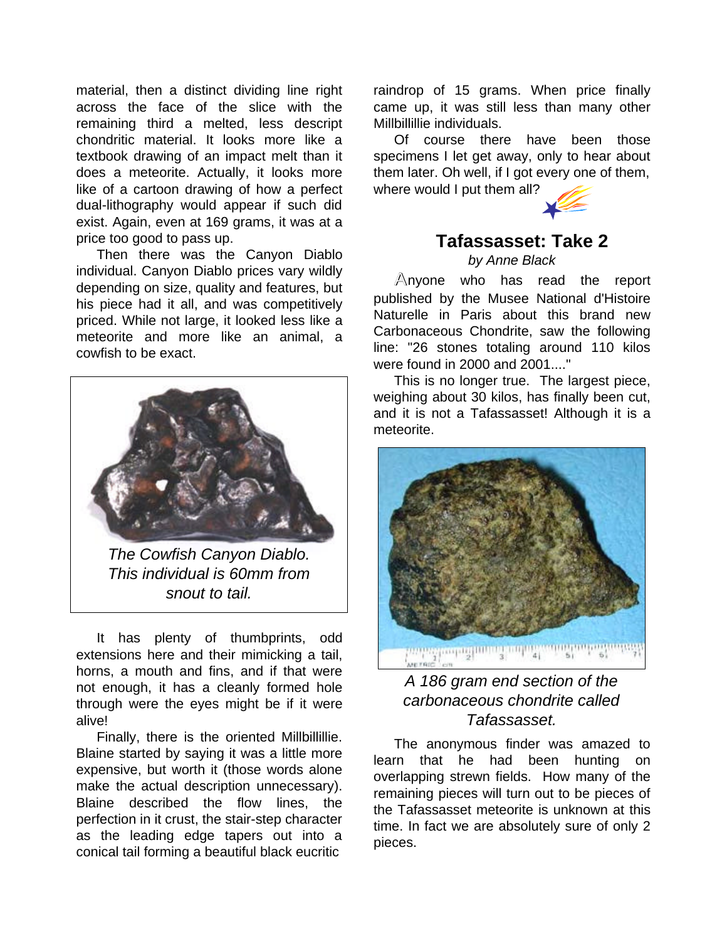material, then a distinct dividing line right across the face of the slice with the remaining third a melted, less descript chondritic material. It looks more like a textbook drawing of an impact melt than it does a meteorite. Actually, it looks more like of a cartoon drawing of how a perfect dual-lithography would appear if such did exist. Again, even at 169 grams, it was at a price too good to pass up.

Then there was the Canyon Diablo individual. Canyon Diablo prices vary wildly depending on size, quality and features, but his piece had it all, and was competitively priced. While not large, it looked less like a meteorite and more like an animal, a cowfish to be exact.



*The Cowfish Canyon Diablo. This individual is 60mm from snout to tail.*

It has plenty of thumbprints, odd extensions here and their mimicking a tail, horns, a mouth and fins, and if that were not enough, it has a cleanly formed hole through were the eyes might be if it were alive!

Finally, there is the oriented Millbillillie. Blaine started by saying it was a little more expensive, but worth it (those words alone make the actual description unnecessary). Blaine described the flow lines, the perfection in it crust, the stair-step character as the leading edge tapers out into a conical tail forming a beautiful black eucritic

raindrop of 15 grams. When price finally came up, it was still less than many other Millbillillie individuals.

Of course there have been those specimens I let get away, only to hear about them later. Oh well, if I got every one of them, where would I put them all?



# **Tafassasset: Take 2**

*by Anne Black*

Anyone who has read the report published by the Musee National d'Histoire Naturelle in Paris about this brand new Carbonaceous Chondrite, saw the following line: "26 stones totaling around 110 kilos were found in 2000 and 2001...."

This is no longer true. The largest piece, weighing about 30 kilos, has finally been cut, and it is not a Tafassasset! Although it is a meteorite.



### *A 186 gram end section of the carbonaceous chondrite called Tafassasset.*

The anonymous finder was amazed to learn that he had been hunting on overlapping strewn fields. How many of the remaining pieces will turn out to be pieces of the Tafassasset meteorite is unknown at this time. In fact we are absolutely sure of only 2 pieces.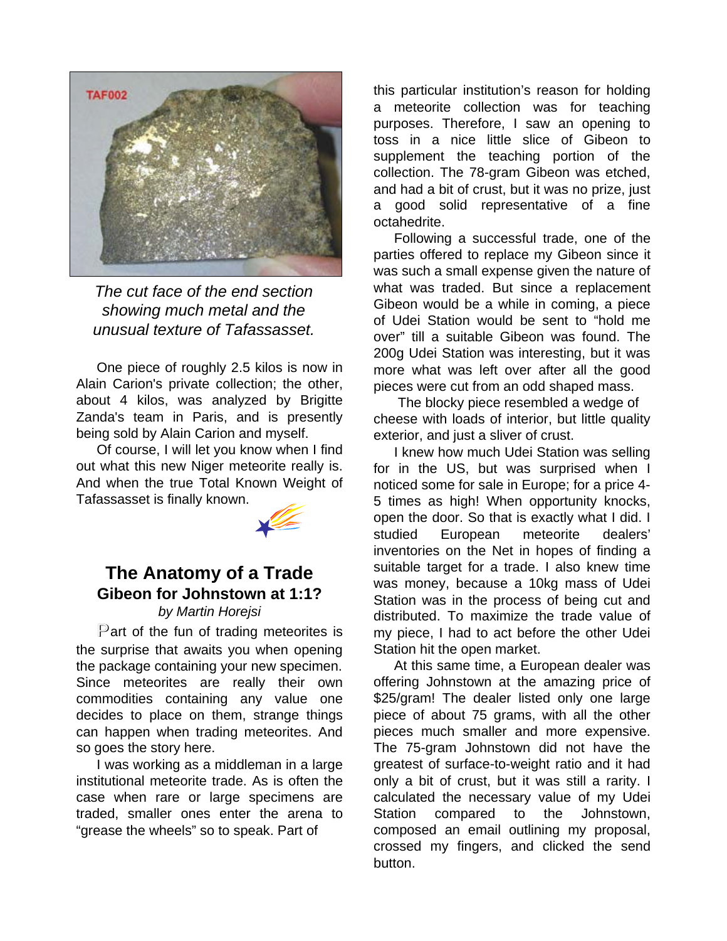

*The cut face of the end section showing much metal and the unusual texture of Tafassasset.*

One piece of roughly 2.5 kilos is now in Alain Carion's private collection; the other, about 4 kilos, was analyzed by Brigitte Zanda's team in Paris, and is presently being sold by Alain Carion and myself.

Of course, I will let you know when I find out what this new Niger meteorite really is. And when the true Total Known Weight of Tafassasset is finally known.



## **The Anatomy of a Trade Gibeon for Johnstown at 1:1?**

#### *by Martin Horejsi*

Part of the fun of trading meteorites is the surprise that awaits you when opening the package containing your new specimen. Since meteorites are really their own commodities containing any value one decides to place on them, strange things can happen when trading meteorites. And so goes the story here.

I was working as a middleman in a large institutional meteorite trade. As is often the case when rare or large specimens are traded, smaller ones enter the arena to "grease the wheels" so to speak. Part of

this particular institution's reason for holding a meteorite collection was for teaching purposes. Therefore, I saw an opening to toss in a nice little slice of Gibeon to supplement the teaching portion of the collection. The 78-gram Gibeon was etched, and had a bit of crust, but it was no prize, just a good solid representative of a fine octahedrite.

Following a successful trade, one of the parties offered to replace my Gibeon since it was such a small expense given the nature of what was traded. But since a replacement Gibeon would be a while in coming, a piece of Udei Station would be sent to "hold me over" till a suitable Gibeon was found. The 200g Udei Station was interesting, but it was more what was left over after all the good pieces were cut from an odd shaped mass.

 The blocky piece resembled a wedge of cheese with loads of interior, but little quality exterior, and just a sliver of crust.

I knew how much Udei Station was selling for in the US, but was surprised when I noticed some for sale in Europe; for a price 4- 5 times as high! When opportunity knocks, open the door. So that is exactly what I did. I studied European meteorite dealers' inventories on the Net in hopes of finding a suitable target for a trade. I also knew time was money, because a 10kg mass of Udei Station was in the process of being cut and distributed. To maximize the trade value of my piece, I had to act before the other Udei Station hit the open market.

At this same time, a European dealer was offering Johnstown at the amazing price of \$25/gram! The dealer listed only one large piece of about 75 grams, with all the other pieces much smaller and more expensive. The 75-gram Johnstown did not have the greatest of surface-to-weight ratio and it had only a bit of crust, but it was still a rarity. I calculated the necessary value of my Udei Station compared to the Johnstown, composed an email outlining my proposal, crossed my fingers, and clicked the send button.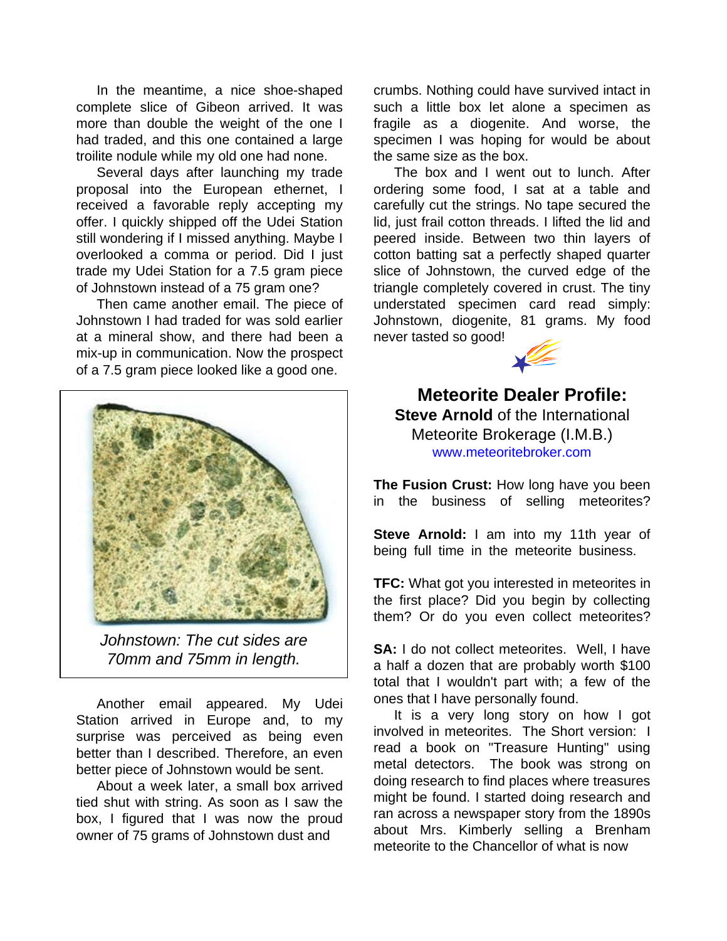In the meantime, a nice shoe-shaped complete slice of Gibeon arrived. It was more than double the weight of the one I had traded, and this one contained a large troilite nodule while my old one had none.

Several days after launching my trade proposal into the European ethernet, I received a favorable reply accepting my offer. I quickly shipped off the Udei Station still wondering if I missed anything. Maybe I overlooked a comma or period. Did I just trade my Udei Station for a 7.5 gram piece of Johnstown instead of a 75 gram one?

Then came another email. The piece of Johnstown I had traded for was sold earlier at a mineral show, and there had been a mix-up in communication. Now the prospect of a 7.5 gram piece looked like a good one.



*Johnstown: The cut sides are 70mm and 75mm in length.*

Another email appeared. My Udei Station arrived in Europe and, to my surprise was perceived as being even better than I described. Therefore, an even better piece of Johnstown would be sent.

About a week later, a small box arrived tied shut with string. As soon as I saw the box, I figured that I was now the proud owner of 75 grams of Johnstown dust and

crumbs. Nothing could have survived intact in such a little box let alone a specimen as fragile as a diogenite. And worse, the specimen I was hoping for would be about the same size as the box.

The box and I went out to lunch. After ordering some food, I sat at a table and carefully cut the strings. No tape secured the lid, just frail cotton threads. I lifted the lid and peered inside. Between two thin layers of cotton batting sat a perfectly shaped quarter slice of Johnstown, the curved edge of the triangle completely covered in crust. The tiny understated specimen card read simply: Johnstown, diogenite, 81 grams. My food never tasted so good!



**Meteorite Dealer Profile: Steve Arnold** of the International Meteorite Brokerage (I.M.B.) www.meteoritebroker.com

**The Fusion Crust:** How long have you been in the business of selling meteorites?

**Steve Arnold:** I am into my 11th year of being full time in the meteorite business.

**TFC:** What got you interested in meteorites in the first place? Did you begin by collecting them? Or do you even collect meteorites?

**SA:** I do not collect meteorites. Well, I have a half a dozen that are probably worth \$100 total that I wouldn't part with; a few of the ones that I have personally found.

It is a very long story on how I got involved in meteorites. The Short version: I read a book on "Treasure Hunting" using metal detectors. The book was strong on doing research to find places where treasures might be found. I started doing research and ran across a newspaper story from the 1890s about Mrs. Kimberly selling a Brenham meteorite to the Chancellor of what is now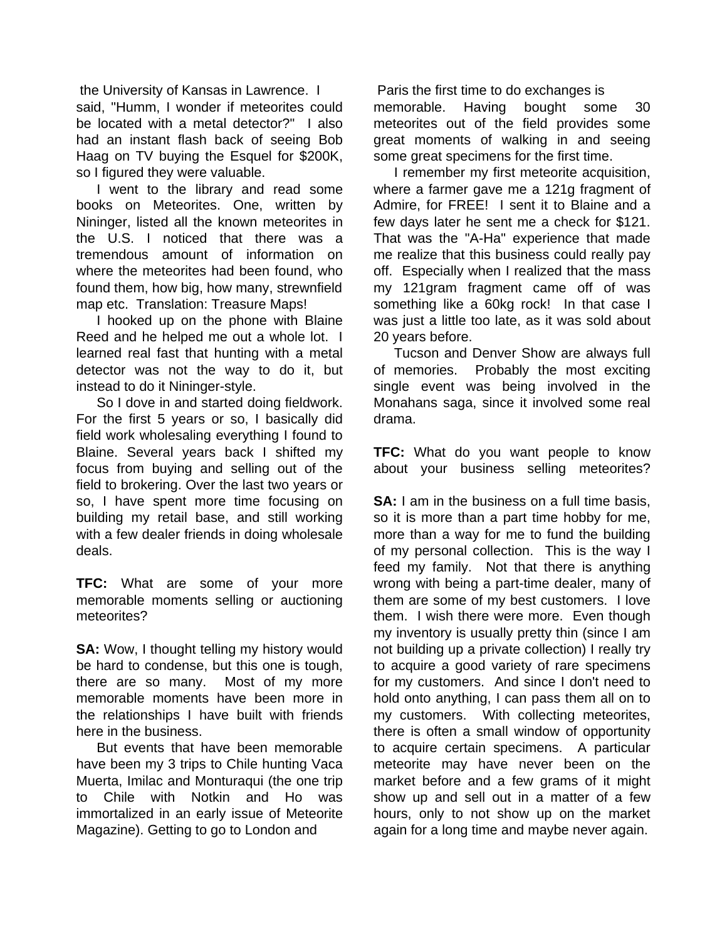the University of Kansas in Lawrence. I said, "Humm, I wonder if meteorites could be located with a metal detector?" I also had an instant flash back of seeing Bob Haag on TV buying the Esquel for \$200K, so I figured they were valuable.

I went to the library and read some books on Meteorites. One, written by Nininger, listed all the known meteorites in the U.S. I noticed that there was a tremendous amount of information on where the meteorites had been found, who found them, how big, how many, strewnfield map etc. Translation: Treasure Maps!

I hooked up on the phone with Blaine Reed and he helped me out a whole lot. I learned real fast that hunting with a metal detector was not the way to do it, but instead to do it Nininger-style.

So I dove in and started doing fieldwork. For the first 5 years or so, I basically did field work wholesaling everything I found to Blaine. Several years back I shifted my focus from buying and selling out of the field to brokering. Over the last two years or so, I have spent more time focusing on building my retail base, and still working with a few dealer friends in doing wholesale deals.

**TFC:** What are some of your more memorable moments selling or auctioning meteorites?

**SA:** Wow, I thought telling my history would be hard to condense, but this one is tough, there are so many. Most of my more memorable moments have been more in the relationships I have built with friends here in the business.

But events that have been memorable have been my 3 trips to Chile hunting Vaca Muerta, Imilac and Monturaqui (the one trip to Chile with Notkin and Ho was immortalized in an early issue of Meteorite Magazine). Getting to go to London and

 Paris the first time to do exchanges is memorable. Having bought some 30 meteorites out of the field provides some great moments of walking in and seeing some great specimens for the first time.

I remember my first meteorite acquisition, where a farmer gave me a 121g fragment of Admire, for FREE! I sent it to Blaine and a few days later he sent me a check for \$121. That was the "A-Ha" experience that made me realize that this business could really pay off. Especially when I realized that the mass my 121gram fragment came off of was something like a 60kg rock! In that case I was just a little too late, as it was sold about 20 years before.

Tucson and Denver Show are always full of memories. Probably the most exciting single event was being involved in the Monahans saga, since it involved some real drama. .

**TFC:** What do you want people to know about your business selling meteorites?

**SA:** I am in the business on a full time basis. so it is more than a part time hobby for me, more than a way for me to fund the building of my personal collection. This is the way I feed my family. Not that there is anything wrong with being a part-time dealer, many of them are some of my best customers. I love them. I wish there were more. Even though my inventory is usually pretty thin (since I am not building up a private collection) I really try to acquire a good variety of rare specimens for my customers. And since I don't need to hold onto anything, I can pass them all on to my customers. With collecting meteorites, there is often a small window of opportunity to acquire certain specimens. A particular meteorite may have never been on the market before and a few grams of it might show up and sell out in a matter of a few hours, only to not show up on the market again for a long time and maybe never again.